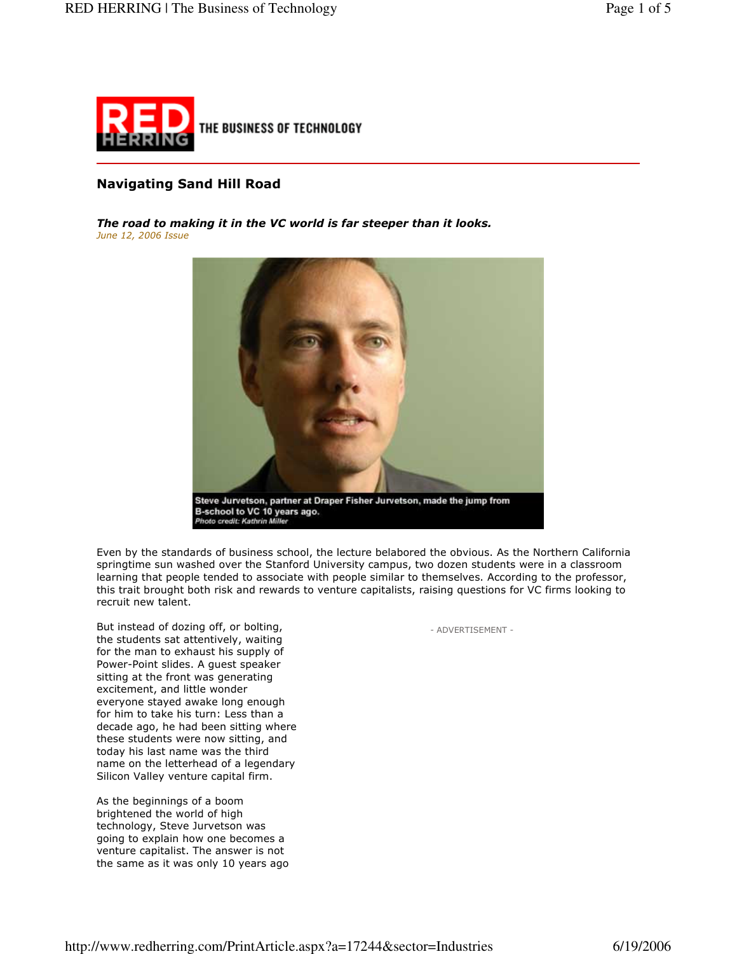

# **Navigating Sand Hill Road**

The road to making it in the VC world is far steeper than it looks. June 12, 2006 Issue



Even by the standards of business school, the lecture belabored the obvious. As the Northern California springtime sun washed over the Stanford University campus, two dozen students were in a classroom learning that people tended to associate with people similar to themselves. According to the professor, this trait brought both risk and rewards to venture capitalists, raising questions for VC firms looking to recruit new talent.

But instead of dozing off, or bolting, the students sat attentively, waiting for the man to exhaust his supply of Power-Point slides. A quest speaker sitting at the front was generating excitement, and little wonder everyone stayed awake long enough for him to take his turn: Less than a decade ago, he had been sitting where these students were now sitting, and today his last name was the third name on the letterhead of a legendary Silicon Valley venture capital firm.

As the beginnings of a boom brightened the world of high technology, Steve Jurvetson was going to explain how one becomes a venture capitalist. The answer is not the same as it was only 10 years ago - ADVERTISEMENT -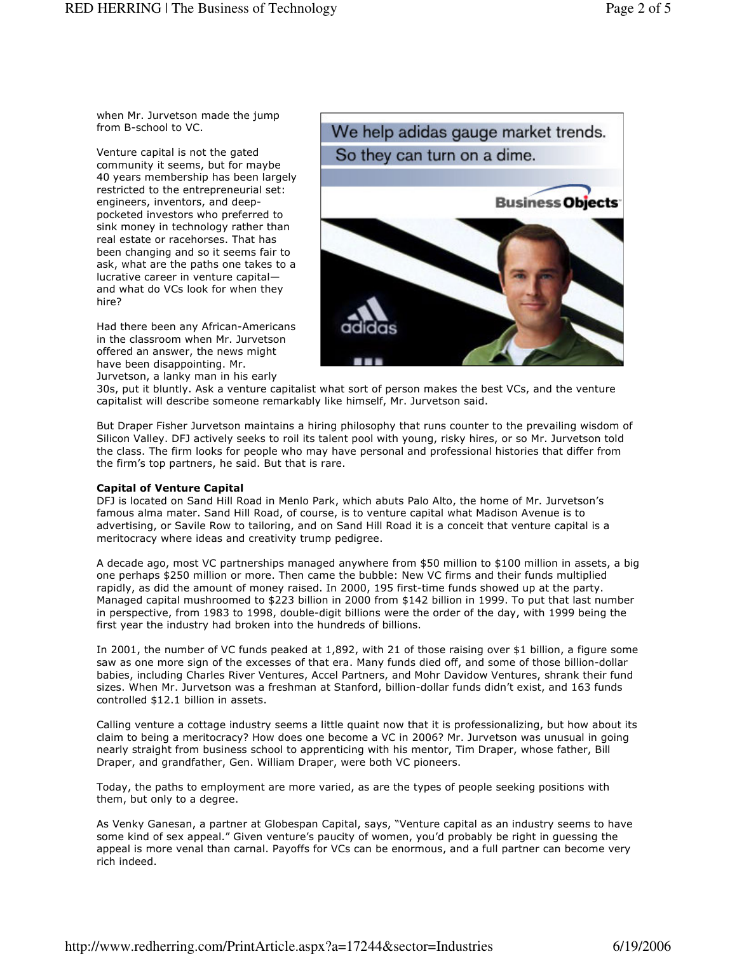when Mr. Jurvetson made the jump from B-school to VC.

Venture capital is not the gated community it seems, but for maybe 40 years membership has been largely restricted to the entrepreneurial set: engineers, inventors, and deeppocketed investors who preferred to sink money in technology rather than real estate or racehorses. That has been changing and so it seems fair to ask, what are the paths one takes to a lucrative career in venture capitaland what do VCs look for when they hire?

Had there been any African-Americans in the classroom when Mr. Jurvetson offered an answer, the news might have been disappointing. Mr. Jurvetson, a lanky man in his early



30s, put it bluntly. Ask a venture capitalist what sort of person makes the best VCs, and the venture capitalist will describe someone remarkably like himself, Mr. Jurvetson said.

But Draper Fisher Jurvetson maintains a hiring philosophy that runs counter to the prevailing wisdom of Silicon Valley. DFJ actively seeks to roil its talent pool with young, risky hires, or so Mr. Jurvetson told the class. The firm looks for people who may have personal and professional histories that differ from the firm's top partners, he said. But that is rare.

### **Capital of Venture Capital**

DFJ is located on Sand Hill Road in Menlo Park, which abuts Palo Alto, the home of Mr. Jurvetson's famous alma mater. Sand Hill Road, of course, is to venture capital what Madison Avenue is to advertising, or Savile Row to tailoring, and on Sand Hill Road it is a conceit that venture capital is a meritocracy where ideas and creativity trump pedigree.

A decade ago, most VC partnerships managed anywhere from \$50 million to \$100 million in assets, a big one perhaps \$250 million or more. Then came the bubble: New VC firms and their funds multiplied rapidly, as did the amount of money raised. In 2000, 195 first-time funds showed up at the party. Managed capital mushroomed to \$223 billion in 2000 from \$142 billion in 1999. To put that last number in perspective, from 1983 to 1998, double-digit billions were the order of the day, with 1999 being the first year the industry had broken into the hundreds of billions.

In 2001, the number of VC funds peaked at 1,892, with 21 of those raising over \$1 billion, a figure some saw as one more sign of the excesses of that era. Many funds died off, and some of those billion-dollar babies, including Charles River Ventures, Accel Partners, and Mohr Davidow Ventures, shrank their fund sizes. When Mr. Jurvetson was a freshman at Stanford, billion-dollar funds didn't exist, and 163 funds controlled \$12.1 billion in assets.

Calling venture a cottage industry seems a little quaint now that it is professionalizing, but how about its claim to being a meritocracy? How does one become a VC in 2006? Mr. Jurvetson was unusual in going nearly straight from business school to apprenticing with his mentor, Tim Draper, whose father, Bill Draper, and grandfather, Gen. William Draper, were both VC pioneers.

Today, the paths to employment are more varied, as are the types of people seeking positions with them, but only to a degree.

As Venky Ganesan, a partner at Globespan Capital, says, "Venture capital as an industry seems to have some kind of sex appeal." Given venture's paucity of women, you'd probably be right in quessing the appeal is more venal than carnal. Payoffs for VCs can be enormous, and a full partner can become very rich indeed.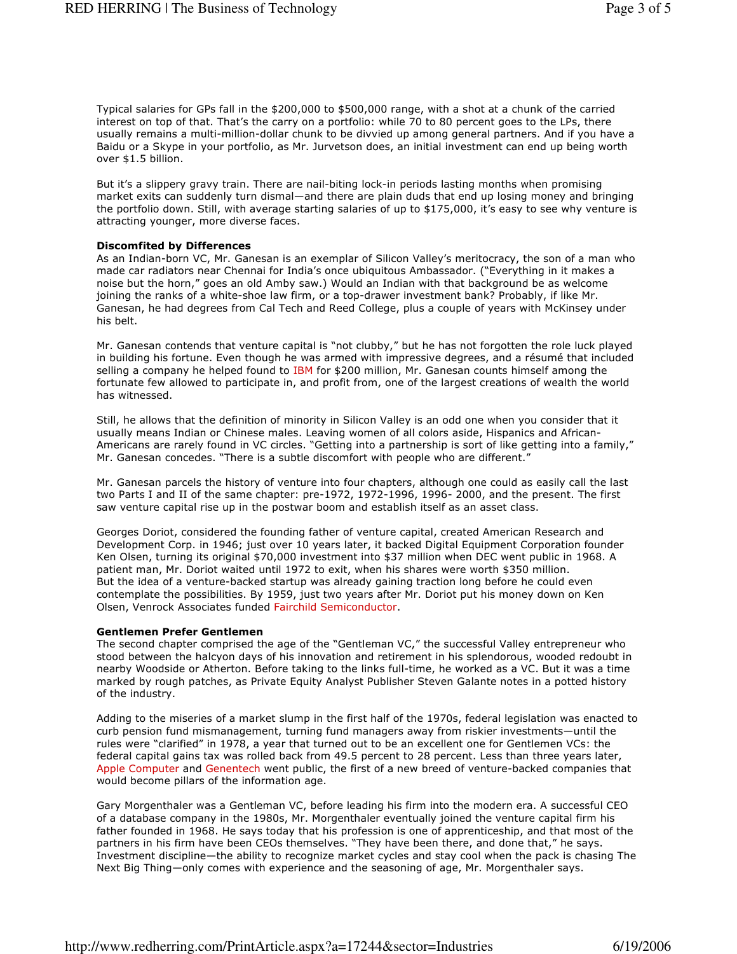Typical salaries for GPs fall in the \$200,000 to \$500,000 range, with a shot at a chunk of the carried interest on top of that. That's the carry on a portfolio: while 70 to 80 percent goes to the LPs, there usually remains a multi-million-dollar chunk to be divvied up among general partners. And if you have a Baidu or a Skype in your portfolio, as Mr. Jurvetson does, an initial investment can end up being worth over \$1.5 billion.

But it's a slippery gravy train. There are nail-biting lock-in periods lasting months when promising market exits can suddenly turn dismal—and there are plain duds that end up losing money and bringing the portfolio down. Still, with average starting salaries of up to \$175,000, it's easy to see why venture is attracting younger, more diverse faces.

#### **Discomfited by Differences**

As an Indian-born VC, Mr. Ganesan is an exemplar of Silicon Valley's meritocracy, the son of a man who made car radiators near Chennai for India's once ubiquitous Ambassador. ("Everything in it makes a noise but the horn," goes an old Amby saw.) Would an Indian with that background be as welcome joining the ranks of a white-shoe law firm, or a top-drawer investment bank? Probably, if like Mr. Ganesan, he had degrees from Cal Tech and Reed College, plus a couple of years with McKinsey under his belt.

Mr. Ganesan contends that venture capital is "not clubby," but he has not forgotten the role luck played in building his fortune. Even though he was armed with impressive degrees, and a résumé that included selling a company he helped found to IBM for \$200 million, Mr. Ganesan counts himself among the fortunate few allowed to participate in, and profit from, one of the largest creations of wealth the world has witnessed.

Still, he allows that the definition of minority in Silicon Valley is an odd one when you consider that it usually means Indian or Chinese males. Leaving women of all colors aside, Hispanics and African-Americans are rarely found in VC circles. "Getting into a partnership is sort of like getting into a family," Mr. Ganesan concedes. "There is a subtle discomfort with people who are different."

Mr. Ganesan parcels the history of venture into four chapters, although one could as easily call the last two Parts I and II of the same chapter: pre-1972, 1972-1996, 1996- 2000, and the present. The first saw venture capital rise up in the postwar boom and establish itself as an asset class.

Georges Doriot, considered the founding father of venture capital, created American Research and Development Corp. in 1946; just over 10 years later, it backed Digital Equipment Corporation founder Ken Olsen, turning its original \$70,000 investment into \$37 million when DEC went public in 1968. A patient man, Mr. Doriot waited until 1972 to exit, when his shares were worth \$350 million. But the idea of a venture-backed startup was already gaining traction long before he could even contemplate the possibilities. By 1959, just two years after Mr. Doriot put his money down on Ken Olsen, Venrock Associates funded Fairchild Semiconductor.

#### Gentlemen Prefer Gentlemen

The second chapter comprised the age of the "Gentleman VC," the successful Valley entrepreneur who stood between the halcyon days of his innovation and retirement in his splendorous, wooded redoubt in nearby Woodside or Atherton. Before taking to the links full-time, he worked as a VC. But it was a time marked by rough patches, as Private Equity Analyst Publisher Steven Galante notes in a potted history of the industry.

Adding to the miseries of a market slump in the first half of the 1970s, federal legislation was enacted to curb pension fund mismanagement, turning fund managers away from riskier investments—until the rules were "clarified" in 1978, a year that turned out to be an excellent one for Gentlemen VCs: the federal capital gains tax was rolled back from 49.5 percent to 28 percent. Less than three years later, Apple Computer and Genentech went public, the first of a new breed of venture-backed companies that would become pillars of the information age.

Gary Morgenthaler was a Gentleman VC, before leading his firm into the modern era. A successful CEO of a database company in the 1980s, Mr. Morgenthaler eventually joined the venture capital firm his father founded in 1968. He says today that his profession is one of apprenticeship, and that most of the partners in his firm have been CEOs themselves. "They have been there, and done that," he says. Investment discipline—the ability to recognize market cycles and stay cool when the pack is chasing The Next Big Thing-only comes with experience and the seasoning of age, Mr. Morgenthaler says.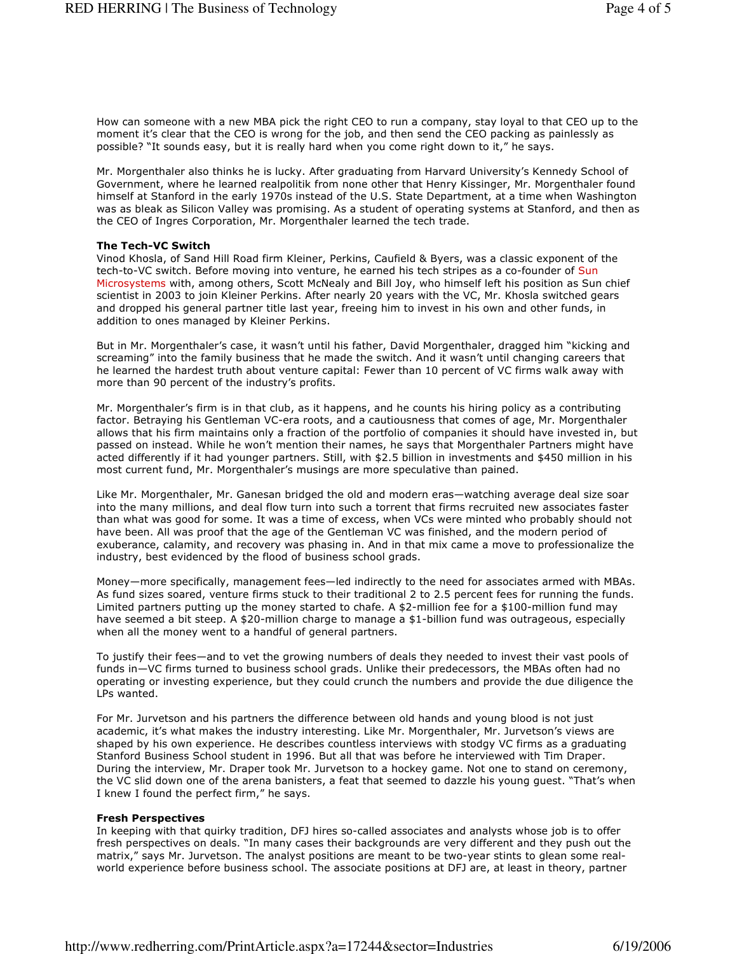How can someone with a new MBA pick the right CEO to run a company, stay loyal to that CEO up to the moment it's clear that the CEO is wrong for the job, and then send the CEO packing as painlessly as possible? "It sounds easy, but it is really hard when you come right down to it," he says.

Mr. Morgenthaler also thinks he is lucky. After graduating from Harvard University's Kennedy School of Government, where he learned realpolitik from none other that Henry Kissinger, Mr. Morgenthaler found himself at Stanford in the early 1970s instead of the U.S. State Department, at a time when Washington was as bleak as Silicon Valley was promising. As a student of operating systems at Stanford, and then as the CEO of Ingres Corporation, Mr. Morgenthaler learned the tech trade.

## **The Tech-VC Switch**

Vinod Khosla, of Sand Hill Road firm Kleiner, Perkins, Caufield & Byers, was a classic exponent of the tech-to-VC switch. Before moving into venture, he earned his tech stripes as a co-founder of Sun Microsystems with, among others, Scott McNealy and Bill Joy, who himself left his position as Sun chief scientist in 2003 to join Kleiner Perkins. After nearly 20 years with the VC, Mr. Khosla switched gears and dropped his general partner title last year, freeing him to invest in his own and other funds, in addition to ones managed by Kleiner Perkins.

But in Mr. Morgenthaler's case, it wasn't until his father, David Morgenthaler, dragged him "kicking and screaming" into the family business that he made the switch. And it wasn't until changing careers that he learned the hardest truth about venture capital: Fewer than 10 percent of VC firms walk away with more than 90 percent of the industry's profits.

Mr. Morgenthaler's firm is in that club, as it happens, and he counts his hiring policy as a contributing factor. Betraying his Gentleman VC-era roots, and a cautiousness that comes of age, Mr. Morgenthaler allows that his firm maintains only a fraction of the portfolio of companies it should have invested in, but passed on instead. While he won't mention their names, he says that Morgenthaler Partners might have acted differently if it had younger partners. Still, with \$2.5 billion in investments and \$450 million in his most current fund, Mr. Morgenthaler's musings are more speculative than pained.

Like Mr. Morgenthaler, Mr. Ganesan bridged the old and modern eras-watching average deal size soar into the many millions, and deal flow turn into such a torrent that firms recruited new associates faster than what was good for some. It was a time of excess, when VCs were minted who probably should not have been. All was proof that the age of the Gentleman VC was finished, and the modern period of exuberance, calamity, and recovery was phasing in. And in that mix came a move to professionalize the industry, best evidenced by the flood of business school grads.

Money—more specifically, management fees—led indirectly to the need for associates armed with MBAs. As fund sizes soared, venture firms stuck to their traditional 2 to 2.5 percent fees for running the funds. Limited partners putting up the money started to chafe. A \$2-million fee for a \$100-million fund may have seemed a bit steep. A \$20-million charge to manage a \$1-billion fund was outrageous, especially when all the money went to a handful of general partners.

To justify their fees-and to vet the growing numbers of deals they needed to invest their vast pools of funds in-VC firms turned to business school grads. Unlike their predecessors, the MBAs often had no operating or investing experience, but they could crunch the numbers and provide the due diligence the LPs wanted.

For Mr. Jurvetson and his partners the difference between old hands and young blood is not just academic, it's what makes the industry interesting. Like Mr. Morgenthaler, Mr. Jurvetson's views are shaped by his own experience. He describes countless interviews with stodgy VC firms as a graduating Stanford Business School student in 1996. But all that was before he interviewed with Tim Draper. During the interview, Mr. Draper took Mr. Jurvetson to a hockey game. Not one to stand on ceremony, the VC slid down one of the arena banisters, a feat that seemed to dazzle his young guest. "That's when I knew I found the perfect firm," he says.

### **Fresh Perspectives**

In keeping with that quirky tradition, DFJ hires so-called associates and analysts whose job is to offer fresh perspectives on deals. "In many cases their backgrounds are very different and they push out the matrix," says Mr. Jurvetson. The analyst positions are meant to be two-year stints to glean some realworld experience before business school. The associate positions at DFJ are, at least in theory, partner